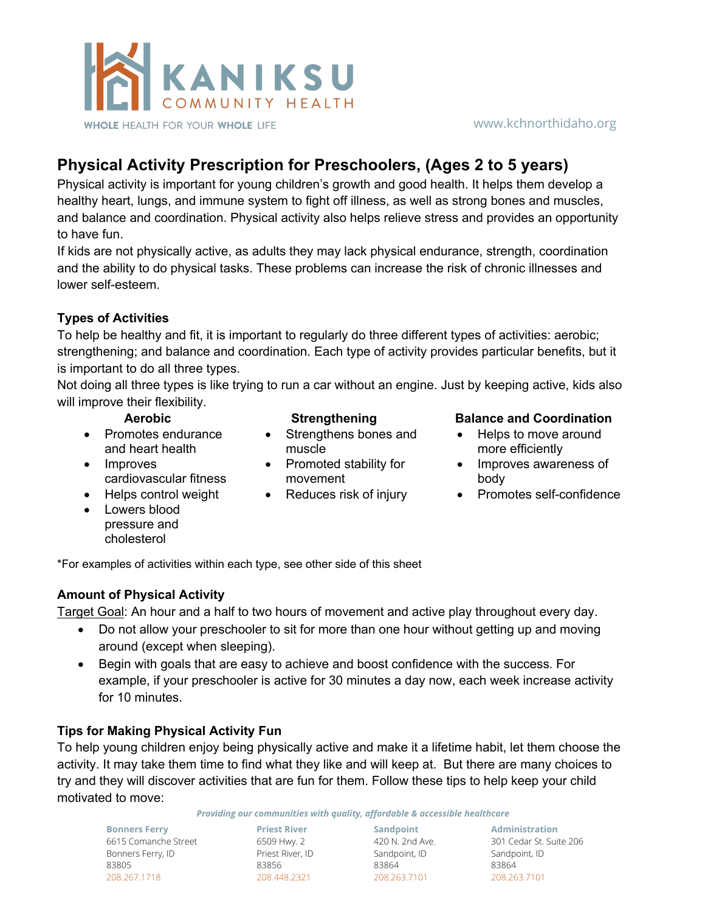

#### www.kchnorthidaho.org

# **Physical Activity Prescription for Preschoolers, (Ages 2 to 5 years)**

Physical activity is important for young children's growth and good health. It helps them develop a healthy heart, lungs, and immune system to fight off illness, as well as strong bones and muscles, and balance and coordination. Physical activity also helps relieve stress and provides an opportunity to have fun.

If kids are not physically active, as adults they may lack physical endurance, strength, coordination and the ability to do physical tasks. These problems can increase the risk of chronic illnesses and lower self-esteem.

## **Types of Activities**

To help be healthy and fit, it is important to regularly do three different types of activities: aerobic; strengthening; and balance and coordination. Each type of activity provides particular benefits, but it is important to do all three types.

Not doing all three types is like trying to run a car without an engine. Just by keeping active, kids also will improve their flexibility.

- Promotes endurance and heart health
- Improves cardiovascular fitness
- 
- Lowers blood pressure and cholesterol
- 
- Strengthens bones and muscle
- Promoted stability for movement
- 

#### **Aerobic Strengthening Balance and Coordination**

- Helps to move around more efficiently
- Improves awareness of body
- Helps control weight Reduces risk of injury Promotes self-confidence

\*For examples of activities within each type, see other side of this sheet

### **Amount of Physical Activity**

Target Goal: An hour and a half to two hours of movement and active play throughout every day.

- Do not allow your preschooler to sit for more than one hour without getting up and moving around (except when sleeping).
- Begin with goals that are easy to achieve and boost confidence with the success. For example, if your preschooler is active for 30 minutes a day now, each week increase activity for 10 minutes.

# **Tips for Making Physical Activity Fun**

To help young children enjoy being physically active and make it a lifetime habit, let them choose the activity. It may take them time to find what they like and will keep at. But there are many choices to try and they will discover activities that are fun for them. Follow these tips to help keep your child motivated to move:

*Providing our communities with quality, affordable & accessible healthcare*

**Bonners Ferry** 6615 Comanche Street Bonners Ferry, ID 83805 208.267.1718

**Priest River** 6509 Hwy. 2 Priest River, ID 83856 208.448.2321

**Sandpoint** 420 N. 2nd Ave. Sandpoint, ID 83864 208.263.7101

**Administration** 301 Cedar St. Suite 206 Sandpoint, ID 83864 208.263.7101